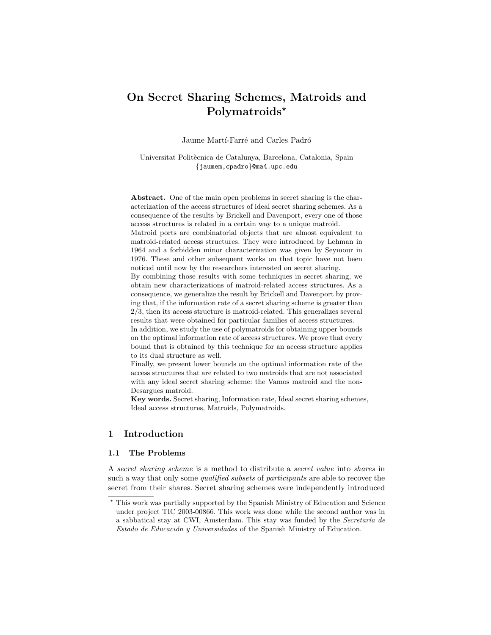# On Secret Sharing Schemes, Matroids and Polymatroids\*

Jaume Martí-Farré and Carles Padró

Universitat Politècnica de Catalunya, Barcelona, Catalonia, Spain {jaumem,cpadro}@ma4.upc.edu

Abstract. One of the main open problems in secret sharing is the characterization of the access structures of ideal secret sharing schemes. As a consequence of the results by Brickell and Davenport, every one of those access structures is related in a certain way to a unique matroid.

Matroid ports are combinatorial objects that are almost equivalent to matroid-related access structures. They were introduced by Lehman in 1964 and a forbidden minor characterization was given by Seymour in 1976. These and other subsequent works on that topic have not been noticed until now by the researchers interested on secret sharing.

By combining those results with some techniques in secret sharing, we obtain new characterizations of matroid-related access structures. As a consequence, we generalize the result by Brickell and Davenport by proving that, if the information rate of a secret sharing scheme is greater than 2/3, then its access structure is matroid-related. This generalizes several results that were obtained for particular families of access structures.

In addition, we study the use of polymatroids for obtaining upper bounds on the optimal information rate of access structures. We prove that every bound that is obtained by this technique for an access structure applies to its dual structure as well.

Finally, we present lower bounds on the optimal information rate of the access structures that are related to two matroids that are not associated with any ideal secret sharing scheme: the Vamos matroid and the non-Desargues matroid.

Key words. Secret sharing, Information rate, Ideal secret sharing schemes, Ideal access structures, Matroids, Polymatroids.

# 1 Introduction

## 1.1 The Problems

A secret sharing scheme is a method to distribute a secret value into shares in such a way that only some *qualified subsets* of *participants* are able to recover the secret from their shares. Secret sharing schemes were independently introduced

<sup>?</sup> This work was partially supported by the Spanish Ministry of Education and Science under project TIC 2003-00866. This work was done while the second author was in a sabbatical stay at CWI, Amsterdam. This stay was funded by the Secretaría de Estado de Educación y Universidades of the Spanish Ministry of Education.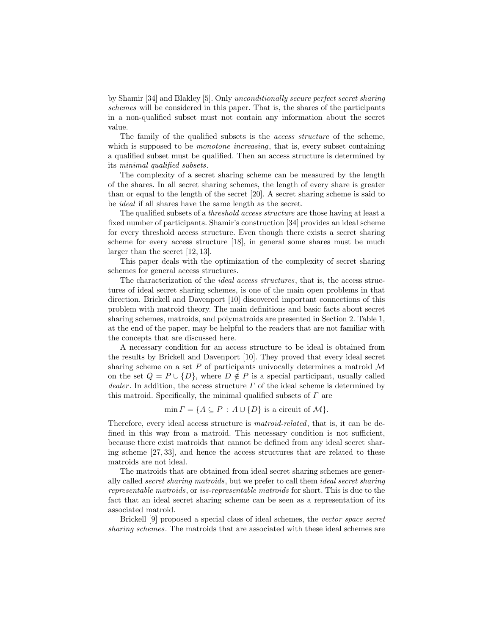by Shamir [34] and Blakley [5]. Only unconditionally secure perfect secret sharing schemes will be considered in this paper. That is, the shares of the participants in a non-qualified subset must not contain any information about the secret value.

The family of the qualified subsets is the access structure of the scheme, which is supposed to be *monotone increasing*, that is, every subset containing a qualified subset must be qualified. Then an access structure is determined by its minimal qualified subsets.

The complexity of a secret sharing scheme can be measured by the length of the shares. In all secret sharing schemes, the length of every share is greater than or equal to the length of the secret [20]. A secret sharing scheme is said to be ideal if all shares have the same length as the secret.

The qualified subsets of a *threshold access structure* are those having at least a fixed number of participants. Shamir's construction [34] provides an ideal scheme for every threshold access structure. Even though there exists a secret sharing scheme for every access structure [18], in general some shares must be much larger than the secret [12, 13].

This paper deals with the optimization of the complexity of secret sharing schemes for general access structures.

The characterization of the ideal access structures, that is, the access structures of ideal secret sharing schemes, is one of the main open problems in that direction. Brickell and Davenport [10] discovered important connections of this problem with matroid theory. The main definitions and basic facts about secret sharing schemes, matroids, and polymatroids are presented in Section 2. Table 1, at the end of the paper, may be helpful to the readers that are not familiar with the concepts that are discussed here.

A necessary condition for an access structure to be ideal is obtained from the results by Brickell and Davenport [10]. They proved that every ideal secret sharing scheme on a set  $P$  of participants univocally determines a matroid  $\mathcal M$ on the set  $Q = P \cup \{D\}$ , where  $D \notin P$  is a special participant, usually called dealer. In addition, the access structure  $\Gamma$  of the ideal scheme is determined by this matroid. Specifically, the minimal qualified subsets of  $\Gamma$  are

 $\min \Gamma = \{A \subseteq P : A \cup \{D\}$  is a circuit of  $\mathcal{M}\}.$ 

Therefore, every ideal access structure is matroid-related, that is, it can be defined in this way from a matroid. This necessary condition is not sufficient, because there exist matroids that cannot be defined from any ideal secret sharing scheme [27, 33], and hence the access structures that are related to these matroids are not ideal.

The matroids that are obtained from ideal secret sharing schemes are generally called secret sharing matroids, but we prefer to call them ideal secret sharing representable matroids, or iss-representable matroids for short. This is due to the fact that an ideal secret sharing scheme can be seen as a representation of its associated matroid.

Brickell [9] proposed a special class of ideal schemes, the vector space secret sharing schemes. The matroids that are associated with these ideal schemes are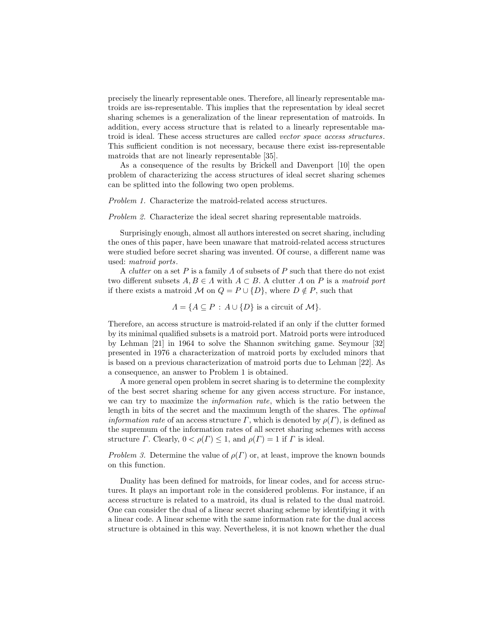precisely the linearly representable ones. Therefore, all linearly representable matroids are iss-representable. This implies that the representation by ideal secret sharing schemes is a generalization of the linear representation of matroids. In addition, every access structure that is related to a linearly representable matroid is ideal. These access structures are called vector space access structures. This sufficient condition is not necessary, because there exist iss-representable matroids that are not linearly representable [35].

As a consequence of the results by Brickell and Davenport [10] the open problem of characterizing the access structures of ideal secret sharing schemes can be splitted into the following two open problems.

Problem 1. Characterize the matroid-related access structures.

Problem 2. Characterize the ideal secret sharing representable matroids.

Surprisingly enough, almost all authors interested on secret sharing, including the ones of this paper, have been unaware that matroid-related access structures were studied before secret sharing was invented. Of course, a different name was used: matroid ports.

A clutter on a set P is a family  $\Lambda$  of subsets of P such that there do not exist two different subsets  $A, B \in \Lambda$  with  $A \subset B$ . A clutter  $\Lambda$  on P is a matroid port if there exists a matroid M on  $Q = P \cup \{D\}$ , where  $D \notin P$ , such that

 $\Lambda = \{A \subseteq P : A \cup \{D\}$  is a circuit of  $\mathcal{M}\}.$ 

Therefore, an access structure is matroid-related if an only if the clutter formed by its minimal qualified subsets is a matroid port. Matroid ports were introduced by Lehman [21] in 1964 to solve the Shannon switching game. Seymour [32] presented in 1976 a characterization of matroid ports by excluded minors that is based on a previous characterization of matroid ports due to Lehman [22]. As a consequence, an answer to Problem 1 is obtained.

A more general open problem in secret sharing is to determine the complexity of the best secret sharing scheme for any given access structure. For instance, we can try to maximize the information rate, which is the ratio between the length in bits of the secret and the maximum length of the shares. The optimal *information rate* of an access structure  $\Gamma$ , which is denoted by  $\rho(\Gamma)$ , is defined as the supremum of the information rates of all secret sharing schemes with access structure  $\Gamma$ . Clearly,  $0 < \rho(\Gamma) \leq 1$ , and  $\rho(\Gamma) = 1$  if  $\Gamma$  is ideal.

Problem 3. Determine the value of  $\rho(\Gamma)$  or, at least, improve the known bounds on this function.

Duality has been defined for matroids, for linear codes, and for access structures. It plays an important role in the considered problems. For instance, if an access structure is related to a matroid, its dual is related to the dual matroid. One can consider the dual of a linear secret sharing scheme by identifying it with a linear code. A linear scheme with the same information rate for the dual access structure is obtained in this way. Nevertheless, it is not known whether the dual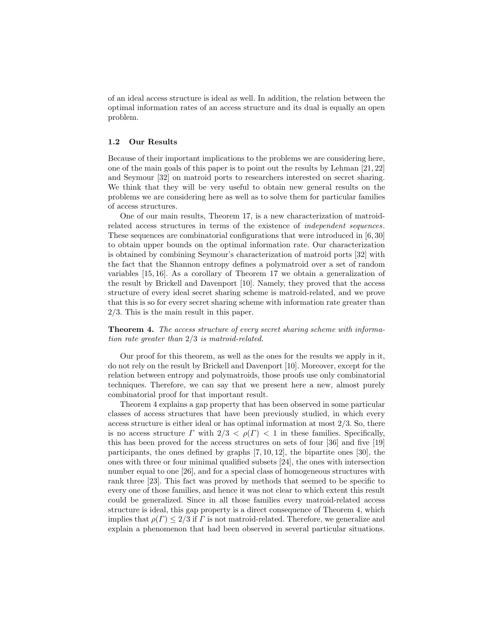of an ideal access structure is ideal as well. In addition, the relation between the optimal information rates of an access structure and its dual is equally an open problem.

### 1.2 Our Results

Because of their important implications to the problems we are considering here, one of the main goals of this paper is to point out the results by Lehman [21, 22] and Seymour [32] on matroid ports to researchers interested on secret sharing. We think that they will be very useful to obtain new general results on the problems we are considering here as well as to solve them for particular families of access structures.

One of our main results, Theorem 17, is a new characterization of matroidrelated access structures in terms of the existence of independent sequences. These sequences are combinatorial configurations that were introduced in [6, 30] to obtain upper bounds on the optimal information rate. Our characterization is obtained by combining Seymour's characterization of matroid ports [32] with the fact that the Shannon entropy defines a polymatroid over a set of random variables [15, 16]. As a corollary of Theorem 17 we obtain a generalization of the result by Brickell and Davenport [10]. Namely, they proved that the access structure of every ideal secret sharing scheme is matroid-related, and we prove that this is so for every secret sharing scheme with information rate greater than 2/3. This is the main result in this paper.

Theorem 4. The access structure of every secret sharing scheme with information rate greater than 2/3 is matroid-related.

Our proof for this theorem, as well as the ones for the results we apply in it, do not rely on the result by Brickell and Davenport [10]. Moreover, except for the relation between entropy and polymatroids, those proofs use only combinatorial techniques. Therefore, we can say that we present here a new, almost purely combinatorial proof for that important result.

Theorem 4 explains a gap property that has been observed in some particular classes of access structures that have been previously studied, in which every access structure is either ideal or has optimal information at most 2/3. So, there is no access structure  $\Gamma$  with  $2/3 < \rho(\Gamma) < 1$  in these families. Specifically, this has been proved for the access structures on sets of four [36] and five [19] participants, the ones defined by graphs [7, 10, 12], the bipartite ones [30], the ones with three or four minimal qualified subsets [24], the ones with intersection number equal to one [26], and for a special class of homogeneous structures with rank three [23]. This fact was proved by methods that seemed to be specific to every one of those families, and hence it was not clear to which extent this result could be generalized. Since in all those families every matroid-related access structure is ideal, this gap property is a direct consequence of Theorem 4, which implies that  $\rho(\Gamma) \leq 2/3$  if  $\Gamma$  is not matroid-related. Therefore, we generalize and explain a phenomenon that had been observed in several particular situations.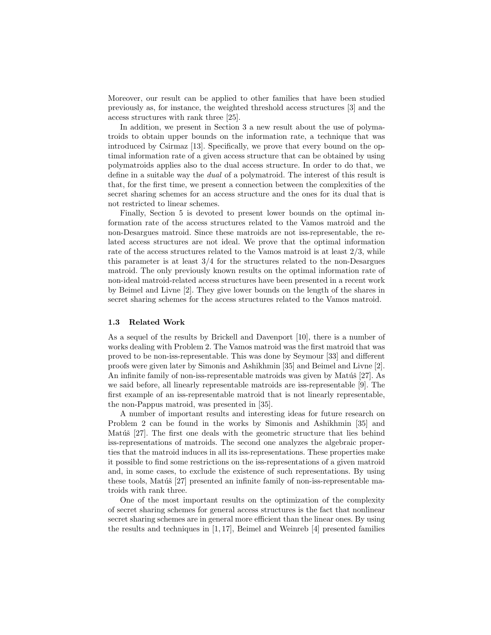Moreover, our result can be applied to other families that have been studied previously as, for instance, the weighted threshold access structures [3] and the access structures with rank three [25].

In addition, we present in Section 3 a new result about the use of polymatroids to obtain upper bounds on the information rate, a technique that was introduced by Csirmaz [13]. Specifically, we prove that every bound on the optimal information rate of a given access structure that can be obtained by using polymatroids applies also to the dual access structure. In order to do that, we define in a suitable way the dual of a polymatroid. The interest of this result is that, for the first time, we present a connection between the complexities of the secret sharing schemes for an access structure and the ones for its dual that is not restricted to linear schemes.

Finally, Section 5 is devoted to present lower bounds on the optimal information rate of the access structures related to the Vamos matroid and the non-Desargues matroid. Since these matroids are not iss-representable, the related access structures are not ideal. We prove that the optimal information rate of the access structures related to the Vamos matroid is at least 2/3, while this parameter is at least  $3/4$  for the structures related to the non-Desargues matroid. The only previously known results on the optimal information rate of non-ideal matroid-related access structures have been presented in a recent work by Beimel and Livne [2]. They give lower bounds on the length of the shares in secret sharing schemes for the access structures related to the Vamos matroid.

#### 1.3 Related Work

As a sequel of the results by Brickell and Davenport [10], there is a number of works dealing with Problem 2. The Vamos matroid was the first matroid that was proved to be non-iss-representable. This was done by Seymour [33] and different proofs were given later by Simonis and Ashikhmin [35] and Beimel and Livne [2]. An infinite family of non-iss-representable matroids was given by Matúš [27]. As we said before, all linearly representable matroids are iss-representable [9]. The first example of an iss-representable matroid that is not linearly representable, the non-Pappus matroid, was presented in [35].

A number of important results and interesting ideas for future research on Problem 2 can be found in the works by Simonis and Ashikhmin [35] and Matúš [27]. The first one deals with the geometric structure that lies behind iss-representations of matroids. The second one analyzes the algebraic properties that the matroid induces in all its iss-representations. These properties make it possible to find some restrictions on the iss-representations of a given matroid and, in some cases, to exclude the existence of such representations. By using these tools, Matúš  $[27]$  presented an infinite family of non-iss-representable matroids with rank three.

One of the most important results on the optimization of the complexity of secret sharing schemes for general access structures is the fact that nonlinear secret sharing schemes are in general more efficient than the linear ones. By using the results and techniques in [1, 17], Beimel and Weinreb [4] presented families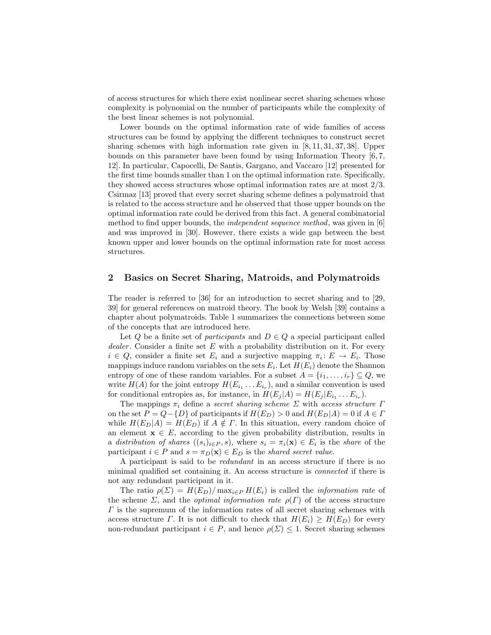of access structures for which there exist nonlinear secret sharing schemes whose complexity is polynomial on the number of participants while the complexity of the best linear schemes is not polynomial.

Lower bounds on the optimal information rate of wide families of access structures can be found by applying the different techniques to construct secret sharing schemes with high information rate given in [8, 11, 31, 37, 38]. Upper bounds on this parameter have been found by using Information Theory [6, 7, 12]. In particular, Capocelli, De Santis, Gargano, and Vaccaro [12] presented for the first time bounds smaller than 1 on the optimal information rate. Specifically, they showed access structures whose optimal information rates are at most 2/3. Csirmaz [13] proved that every secret sharing scheme defines a polymatroid that is related to the access structure and he observed that those upper bounds on the optimal information rate could be derived from this fact. A general combinatorial method to find upper bounds, the independent sequence method, was given in [6] and was improved in [30]. However, there exists a wide gap between the best known upper and lower bounds on the optimal information rate for most access structures.

## 2 Basics on Secret Sharing, Matroids, and Polymatroids

The reader is referred to [36] for an introduction to secret sharing and to [29, 39] for general references on matroid theory. The book by Welsh [39] contains a chapter about polymatroids. Table 1 summarizes the connections between some of the concepts that are introduced here.

Let Q be a finite set of participants and  $D \in Q$  a special participant called dealer. Consider a finite set  $E$  with a probability distribution on it. For every  $i \in Q$ , consider a finite set  $E_i$  and a surjective mapping  $\pi_i: E \to E_i$ . Those mappings induce random variables on the sets  $E_i$ . Let  $H(E_i)$  denote the Shannon entropy of one of these random variables. For a subset  $A = \{i_1, \ldots, i_r\} \subseteq Q$ , we write  $H(A)$  for the joint entropy  $H(E_{i_1} \ldots E_{i_r})$ , and a similar convention is used for conditional entropies as, for instance, in  $H(E_j|A) = H(E_j|E_{i_1} \dots E_{i_r}).$ 

The mappings  $\pi_i$  define a secret sharing scheme  $\Sigma$  with access structure  $\Gamma$ on the set  $P = Q - \{D\}$  of participants if  $H(E_D) > 0$  and  $H(E_D|A) = 0$  if  $A \in \Gamma$ while  $H(E_D|A) = H(E_D)$  if  $A \notin \Gamma$ . In this situation, every random choice of an element  $\mathbf{x} \in E$ , according to the given probability distribution, results in a distribution of shares  $((s_i)_{i \in P}, s)$ , where  $s_i = \pi_i(\mathbf{x}) \in E_i$  is the share of the participant  $i \in P$  and  $s = \pi_D(\mathbf{x}) \in E_D$  is the shared secret value.

A participant is said to be redundant in an access structure if there is no minimal qualified set containing it. An access structure is connected if there is not any redundant participant in it.

The ratio  $\rho(\Sigma) = H(E_D)/\max_{i \in P} H(E_i)$  is called the *information rate* of the scheme  $\Sigma$ , and the *optimal information rate*  $\rho(\Gamma)$  of the access structure  $\Gamma$  is the supremum of the information rates of all secret sharing schemes with access structure Γ. It is not difficult to check that  $H(E_i) \geq H(E_D)$  for every non-redundant participant  $i \in P$ , and hence  $\rho(\Sigma) \leq 1$ . Secret sharing schemes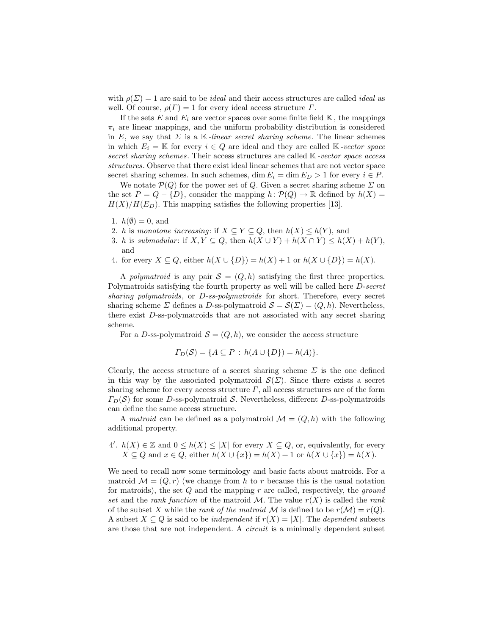with  $\rho(\Sigma) = 1$  are said to be *ideal* and their access structures are called *ideal* as well. Of course,  $\rho(\Gamma) = 1$  for every ideal access structure  $\Gamma$ .

If the sets E and  $E_i$  are vector spaces over some finite field  $\mathbb{K}$ , the mappings  $\pi_i$  are linear mappings, and the uniform probability distribution is considered in E, we say that  $\Sigma$  is a K-linear secret sharing scheme. The linear schemes in which  $E_i = \mathbb{K}$  for every  $i \in Q$  are ideal and they are called  $\mathbb{K}$ -vector space secret sharing schemes. Their access structures are called K-vector space access structures. Observe that there exist ideal linear schemes that are not vector space secret sharing schemes. In such schemes, dim  $E_i = \dim E_D > 1$  for every  $i \in P$ .

We notate  $\mathcal{P}(Q)$  for the power set of Q. Given a secret sharing scheme  $\Sigma$  on the set  $P = Q - \{D\}$ , consider the mapping  $h: \mathcal{P}(Q) \to \mathbb{R}$  defined by  $h(X) =$  $H(X)/H(E_D)$ . This mapping satisfies the following properties [13].

- 1.  $h(\emptyset) = 0$ , and
- 2. h is monotone increasing: if  $X \subseteq Y \subseteq Q$ , then  $h(X) \leq h(Y)$ , and
- 3. h is submodular: if  $X, Y \subseteq Q$ , then  $h(X \cup Y) + h(X \cap Y) \leq h(X) + h(Y)$ , and
- 4. for every  $X \subseteq Q$ , either  $h(X \cup \{D\}) = h(X) + 1$  or  $h(X \cup \{D\}) = h(X)$ .

A polymatroid is any pair  $S = (Q, h)$  satisfying the first three properties. Polymatroids satisfying the fourth property as well will be called here D-secret sharing polymatroids, or D-ss-polymatroids for short. Therefore, every secret sharing scheme  $\Sigma$  defines a D-ss-polymatroid  $\mathcal{S} = \mathcal{S}(\Sigma) = (Q, h)$ . Nevertheless, there exist D-ss-polymatroids that are not associated with any secret sharing scheme.

For a D-ss-polymatroid  $\mathcal{S} = (Q, h)$ , we consider the access structure

$$
\Gamma_D(\mathcal{S}) = \{A \subseteq P : h(A \cup \{D\}) = h(A)\}.
$$

Clearly, the access structure of a secret sharing scheme  $\Sigma$  is the one defined in this way by the associated polymatroid  $\mathcal{S}(\Sigma)$ . Since there exists a secret sharing scheme for every access structure  $\Gamma$ , all access structures are of the form  $\Gamma_D(\mathcal{S})$  for some D-ss-polymatroid S. Nevertheless, different D-ss-polymatroids can define the same access structure.

A matroid can be defined as a polymatroid  $\mathcal{M} = (Q, h)$  with the following additional property.

4'.  $h(X) \in \mathbb{Z}$  and  $0 \leq h(X) \leq |X|$  for every  $X \subseteq Q$ , or, equivalently, for every  $X \subseteq Q$  and  $x \in Q$ , either  $h(X \cup \{x\}) = h(X) + 1$  or  $h(X \cup \{x\}) = h(X)$ .

We need to recall now some terminology and basic facts about matroids. For a matroid  $\mathcal{M} = (Q, r)$  (we change from h to r because this is the usual notation for matroids), the set  $Q$  and the mapping r are called, respectively, the *ground* set and the rank function of the matroid M. The value  $r(X)$  is called the rank of the subset X while the rank of the matroid M is defined to be  $r(\mathcal{M}) = r(Q)$ . A subset  $X \subseteq Q$  is said to be *independent* if  $r(X) = |X|$ . The *dependent* subsets are those that are not independent. A circuit is a minimally dependent subset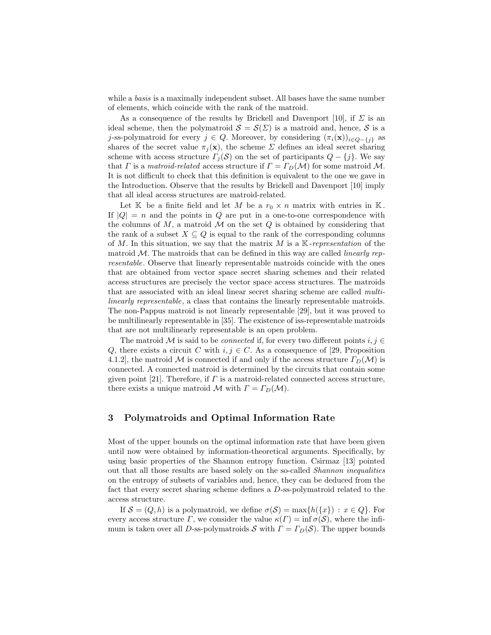while a *basis* is a maximally independent subset. All bases have the same number of elements, which coincide with the rank of the matroid.

As a consequence of the results by Brickell and Davenport [10], if  $\Sigma$  is an ideal scheme, then the polymatroid  $S = S(\Sigma)$  is a matroid and, hence, S is a j-ss-polymatroid for every  $j \in Q$ . Moreover, by considering  $(\pi_i(\mathbf{x}))_{i \in Q-\{j\}}$  as shares of the secret value  $\pi_i(\mathbf{x})$ , the scheme  $\Sigma$  defines an ideal secret sharing scheme with access structure  $\Gamma_j(\mathcal{S})$  on the set of participants  $Q - \{j\}$ . We say that Γ is a matroid-related access structure if  $\Gamma = \Gamma_D(\mathcal{M})$  for some matroid M. It is not difficult to check that this definition is equivalent to the one we gave in the Introduction. Observe that the results by Brickell and Davenport [10] imply that all ideal access structures are matroid-related.

Let  $\mathbb K$  be a finite field and let M be a  $r_0 \times n$  matrix with entries in  $\mathbb K$ . If  $|Q| = n$  and the points in Q are put in a one-to-one correspondence with the columns of  $M$ , a matroid  $M$  on the set  $Q$  is obtained by considering that the rank of a subset  $X \subseteq Q$  is equal to the rank of the corresponding columns of M. In this situation, we say that the matrix M is a  $K$ -representation of the matroid  $\mathcal{M}$ . The matroids that can be defined in this way are called *linearly rep*resentable. Observe that linearly representable matroids coincide with the ones that are obtained from vector space secret sharing schemes and their related access structures are precisely the vector space access structures. The matroids that are associated with an ideal linear secret sharing scheme are called multilinearly representable, a class that contains the linearly representable matroids. The non-Pappus matroid is not linearly representable [29], but it was proved to be multilinearly representable in [35]. The existence of iss-representable matroids that are not multilinearly representable is an open problem.

The matroid M is said to be *connected* if, for every two different points  $i, j \in$ Q, there exists a circuit C with  $i, j \in C$ . As a consequence of [29, Proposition 4.1.2], the matroid M is connected if and only if the access structure  $\Gamma_D(\mathcal{M})$  is connected. A connected matroid is determined by the circuits that contain some given point [21]. Therefore, if  $\Gamma$  is a matroid-related connected access structure, there exists a unique matroid M with  $\Gamma = \Gamma_D(\mathcal{M})$ .

# 3 Polymatroids and Optimal Information Rate

Most of the upper bounds on the optimal information rate that have been given until now were obtained by information-theoretical arguments. Specifically, by using basic properties of the Shannon entropy function. Csirmaz [13] pointed out that all those results are based solely on the so-called Shannon inequalities on the entropy of subsets of variables and, hence, they can be deduced from the fact that every secret sharing scheme defines a D-ss-polymatroid related to the access structure.

If  $\mathcal{S} = (Q, h)$  is a polymatroid, we define  $\sigma(\mathcal{S}) = \max\{h(\lbrace x \rbrace) : x \in Q\}$ . For every access structure Γ, we consider the value  $\kappa(\Gamma) = \inf \sigma(\mathcal{S})$ , where the infimum is taken over all D-ss-polymatroids S with  $\Gamma = \Gamma_D(\mathcal{S})$ . The upper bounds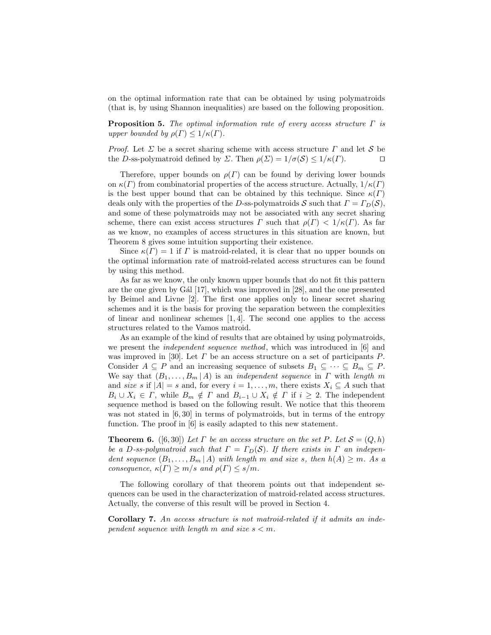on the optimal information rate that can be obtained by using polymatroids (that is, by using Shannon inequalities) are based on the following proposition.

**Proposition 5.** The optimal information rate of every access structure  $\Gamma$  is upper bounded by  $\rho(\Gamma) \leq 1/\kappa(\Gamma)$ .

*Proof.* Let  $\Sigma$  be a secret sharing scheme with access structure  $\Gamma$  and let  $S$  be the D-ss-polymatroid defined by  $\Sigma$ . Then  $\rho(\Sigma) = 1/\sigma(S) \leq 1/\kappa(\Gamma)$ . the D-ss-polymatroid defined by  $\Sigma$ . Then  $\rho(\Sigma) = 1/\sigma(\mathcal{S}) \leq 1/\kappa(\Gamma)$ .

Therefore, upper bounds on  $\rho(\Gamma)$  can be found by deriving lower bounds on  $\kappa(\Gamma)$  from combinatorial properties of the access structure. Actually,  $1/\kappa(\Gamma)$ is the best upper bound that can be obtained by this technique. Since  $\kappa(\Gamma)$ deals only with the properties of the D-ss-polymatroids S such that  $\Gamma = \Gamma_D(\mathcal{S}),$ and some of these polymatroids may not be associated with any secret sharing scheme, there can exist access structures  $\Gamma$  such that  $\rho(\Gamma) < 1/\kappa(\Gamma)$ . As far as we know, no examples of access structures in this situation are known, but Theorem 8 gives some intuition supporting their existence.

Since  $\kappa(\Gamma) = 1$  if  $\Gamma$  is matroid-related, it is clear that no upper bounds on the optimal information rate of matroid-related access structures can be found by using this method.

As far as we know, the only known upper bounds that do not fit this pattern are the one given by G $\hat{a}$ l [17], which was improved in [28], and the one presented by Beimel and Livne [2]. The first one applies only to linear secret sharing schemes and it is the basis for proving the separation between the complexities of linear and nonlinear schemes  $[1, 4]$ . The second one applies to the access structures related to the Vamos matroid.

As an example of the kind of results that are obtained by using polymatroids, we present the *independent sequence method*, which was introduced in [6] and was improved in [30]. Let  $\Gamma$  be an access structure on a set of participants  $P$ . Consider  $A \subseteq P$  and an increasing sequence of subsets  $B_1 \subseteq \cdots \subseteq B_m \subseteq P$ . We say that  $(B_1, \ldots, B_m | A)$  is an *independent sequence* in  $\Gamma$  with length m and size s if  $|A| = s$  and, for every  $i = 1, \ldots, m$ , there exists  $X_i \subseteq A$  such that  $B_i \cup X_i \in \Gamma$ , while  $B_m \notin \Gamma$  and  $B_{i-1} \cup X_i \notin \Gamma$  if  $i \geq 2$ . The independent sequence method is based on the following result. We notice that this theorem was not stated in [6,30] in terms of polymatroids, but in terms of the entropy function. The proof in [6] is easily adapted to this new statement.

**Theorem 6.** ([6,30]) Let  $\Gamma$  be an access structure on the set  $P$ . Let  $S = (Q, h)$ be a D-ss-polymatroid such that  $\Gamma = \Gamma_D(\mathcal{S})$ . If there exists in  $\Gamma$  an independent sequence  $(B_1, \ldots, B_m | A)$  with length m and size s, then  $h(A) \geq m$ . As a consequence,  $\kappa(\Gamma) \ge m/s$  and  $\rho(\Gamma) \le s/m$ .

The following corollary of that theorem points out that independent sequences can be used in the characterization of matroid-related access structures. Actually, the converse of this result will be proved in Section 4.

Corollary 7. An access structure is not matroid-related if it admits an independent sequence with length m and size  $s < m$ .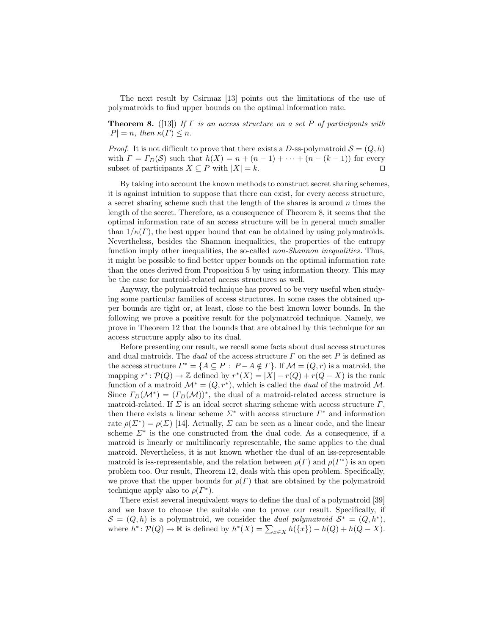The next result by Csirmaz [13] points out the limitations of the use of polymatroids to find upper bounds on the optimal information rate.

**Theorem 8.** ([13]) If  $\Gamma$  is an access structure on a set P of participants with  $|P| = n$ , then  $\kappa(\Gamma) \leq n$ .

*Proof.* It is not difficult to prove that there exists a D-ss-polymatroid  $S = (Q, h)$ with  $\Gamma = \Gamma_D(\mathcal{S})$  such that  $h(X) = n + (n - 1) + \cdots + (n - (k - 1))$  for every subset of participants  $X \subseteq P$  with  $|X| = k$ . subset of participants  $X \subseteq P$  with  $|X| = k$ .

By taking into account the known methods to construct secret sharing schemes, it is against intuition to suppose that there can exist, for every access structure, a secret sharing scheme such that the length of the shares is around  $n$  times the length of the secret. Therefore, as a consequence of Theorem 8, it seems that the optimal information rate of an access structure will be in general much smaller than  $1/\kappa(\Gamma)$ , the best upper bound that can be obtained by using polymatroids. Nevertheless, besides the Shannon inequalities, the properties of the entropy function imply other inequalities, the so-called *non-Shannon inequalities*. Thus, it might be possible to find better upper bounds on the optimal information rate than the ones derived from Proposition 5 by using information theory. This may be the case for matroid-related access structures as well.

Anyway, the polymatroid technique has proved to be very useful when studying some particular families of access structures. In some cases the obtained upper bounds are tight or, at least, close to the best known lower bounds. In the following we prove a positive result for the polymatroid technique. Namely, we prove in Theorem 12 that the bounds that are obtained by this technique for an access structure apply also to its dual.

Before presenting our result, we recall some facts about dual access structures and dual matroids. The dual of the access structure  $\Gamma$  on the set  $P$  is defined as the access structure  $\Gamma^* = \{A \subseteq P : P - A \notin \Gamma\}$ . If  $\mathcal{M} = (Q, r)$  is a matroid, the mapping  $r^* \colon \mathcal{P}(Q) \to \mathbb{Z}$  defined by  $r^*(X) = |X| - r(Q) + r(Q - X)$  is the rank function of a matroid  $\mathcal{M}^* = (Q, r^*)$ , which is called the *dual* of the matroid  $\mathcal{M}$ . Since  $\Gamma_D(\mathcal{M}^*) = (\Gamma_D(\mathcal{M}))^*$ , the dual of a matroid-related access structure is matroid-related. If  $\Sigma$  is an ideal secret sharing scheme with access structure  $\Gamma$ , then there exists a linear scheme  $\Sigma^*$  with access structure  $\Gamma^*$  and information rate  $\rho(\Sigma^*) = \rho(\Sigma)$  [14]. Actually,  $\Sigma$  can be seen as a linear code, and the linear scheme  $\Sigma^*$  is the one constructed from the dual code. As a consequence, if a matroid is linearly or multilinearly representable, the same applies to the dual matroid. Nevertheless, it is not known whether the dual of an iss-representable matroid is iss-representable, and the relation between  $\rho(\Gamma)$  and  $\rho(\Gamma^*)$  is an open problem too. Our result, Theorem 12, deals with this open problem. Specifically, we prove that the upper bounds for  $\rho(\Gamma)$  that are obtained by the polymatroid technique apply also to  $\rho(\Gamma^*)$ .

There exist several inequivalent ways to define the dual of a polymatroid [39] and we have to choose the suitable one to prove our result. Specifically, if  $S = (Q, h)$  is a polymatroid, we consider the *dual polymatroid*  $S^* = (Q, h^*)$ , where  $h^*: \mathcal{P}(Q) \to \mathbb{R}$  is defined by  $h^*(X) = \sum_{x \in X} h(\lbrace x \rbrace) - h(Q) + h(Q - X)$ .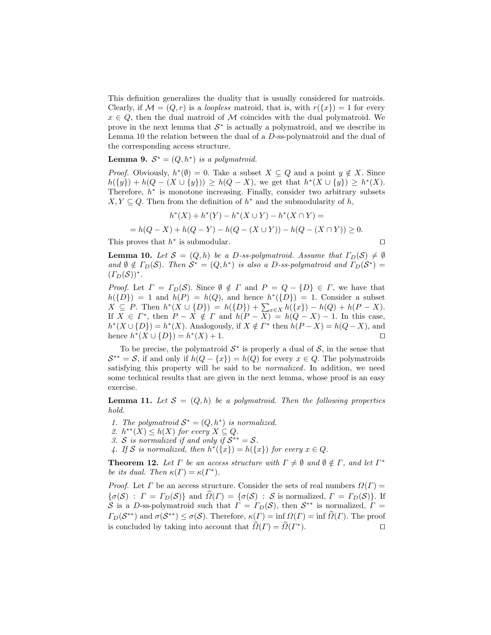This definition generalizes the duality that is usually considered for matroids. Clearly, if  $\mathcal{M} = (Q, r)$  is a *loopless* matroid, that is, with  $r({x}) = 1$  for every  $x \in Q$ , then the dual matroid of M coincides with the dual polymatroid. We prove in the next lemma that  $S^*$  is actually a polymatroid, and we describe in Lemma 10 the relation between the dual of a D-ss-polymatroid and the dual of the corresponding access structure.

# **Lemma 9.**  $S^* = (Q, h^*)$  is a polymatroid.

*Proof.* Obviously,  $h^*(\emptyset) = 0$ . Take a subset  $X \subseteq Q$  and a point  $y \notin X$ . Since  $h({y}) + h(Q - (X \cup {y})) \ge h(Q - X)$ , we get that  $h^*(X \cup {y}) \ge h^*(X)$ . Therefore,  $h^*$  is monotone increasing. Finally, consider two arbitrary subsets  $X, Y \subseteq Q$ . Then from the definition of  $h^*$  and the submodularity of  $h$ ,

$$
h^*(X) + h^*(Y) - h^*(X \cup Y) - h^*(X \cap Y) =
$$
  
=  $h(Q - X) + h(Q - Y) - h(Q - (X \cup Y)) - h(Q - (X \cap Y)) \ge 0.$ 

This proves that  $h^*$  is submodular.  $\Box$ 

**Lemma 10.** Let  $S = (Q, h)$  be a D-ss-polymatroid. Assume that  $\Gamma_D(\mathcal{S}) \neq \emptyset$ and  $\emptyset \notin \Gamma_D(\mathcal{S})$ . Then  $\mathcal{S}^* = (Q, h^*)$  is also a D-ss-polymatroid and  $\Gamma_D(\mathcal{S}^*) =$  $(T_D(\mathcal{S}))^*$ .

*Proof.* Let  $\Gamma = \Gamma_D(\mathcal{S})$ . Since  $\emptyset \notin \Gamma$  and  $P = Q - \{D\} \in \Gamma$ , we have that  $h({D}) = 1$  and  $h(P) = h(Q)$ , and hence  $h^*({D}) = 1$ . Consider a subset  $X \subseteq P$ . Then  $h^*(X \cup \{D\}) = h(\{D\}) + \sum_{x \in X} h(\{x\}) - h(Q) + h(P - X)$ . If  $X \in \Gamma^*$ , then  $P - X \notin \Gamma$  and  $h(P - X) = h(Q - X) - 1$ . In this case,  $h^*(X \cup \{D\}) = h^*(X)$ . Analogously, if  $X \notin \Gamma^*$  then  $h(P - X) = h(Q - X)$ , and hence  $h^*(X \cup \{D\}) = h^*(X) + 1.$ 

To be precise, the polymatroid  $S^*$  is properly a dual of  $S$ , in the sense that  $\mathcal{S}^{**} = \mathcal{S}$ , if and only if  $h(Q - \{x\}) = h(Q)$  for every  $x \in Q$ . The polymatroids satisfying this property will be said to be normalized. In addition, we need some technical results that are given in the next lemma, whose proof is an easy exercise.

**Lemma 11.** Let  $S = (Q, h)$  be a polymatroid. Then the following properties hold.

1. The polymatroid  $S^* = (Q, h^*)$  is normalized.

2.  $h^{**}(X) \leq h(X)$  for every  $X \subseteq Q$ .

3. S is normalized if and only if  $S^{**} = S$ .

4. If S is normalized, then  $h^*(\{x\}) = h(\{x\})$  for every  $x \in Q$ .

**Theorem 12.** Let  $\Gamma$  be an access structure with  $\Gamma \neq \emptyset$  and  $\emptyset \notin \Gamma$ , and let  $\Gamma^*$ be its dual. Then  $\kappa(\Gamma) = \kappa(\Gamma^*)$ .

*Proof.* Let  $\Gamma$  be an access structure. Consider the sets of real numbers  $\Omega(\Gamma)$  =  $\{\sigma(S) : \Gamma = \Gamma_D(\mathcal{S})\}\$ and  $\widehat{\Omega}(\Gamma) = \{\sigma(\mathcal{S}) : \mathcal{S} \text{ is normalized}, \Gamma = \Gamma_D(\mathcal{S})\}\$ . If S is a D-ss-polymatroid such that  $\Gamma = \Gamma_D(\mathcal{S})$ , then  $\mathcal{S}^{**}$  is normalized,  $\Gamma =$  $\Gamma_D(\mathcal{S}^{**})$  and  $\sigma(\mathcal{S}^{**}) \leq \sigma(\mathcal{S})$ . Therefore,  $\kappa(\Gamma) = \inf_{\mathcal{S}} \Omega(\Gamma) = \inf_{\mathcal{S}} \Omega(\Gamma)$ . The proof is concluded by taking into account that  $\hat{\Omega}(\Gamma) = \hat{\Omega}(\Gamma^*)$  $\Box$ ).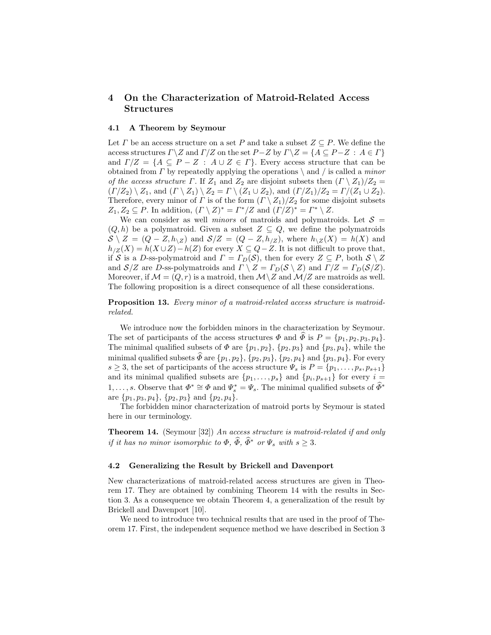# 4 On the Characterization of Matroid-Related Access Structures

### 4.1 A Theorem by Seymour

Let  $\Gamma$  be an access structure on a set P and take a subset  $Z \subseteq P$ . We define the access structures  $\Gamma \backslash Z$  and  $\Gamma/Z$  on the set  $P-Z$  by  $\Gamma \backslash Z = \{A \subseteq P - Z : A \in \Gamma\}$ and  $\Gamma/Z = \{A \subseteq P - Z : A \cup Z \in \Gamma\}$ . Every access structure that can be obtained from  $\Gamma$  by repeatedly applying the operations  $\setminus$  and  $\ell$  is called a *minor* of the access structure  $\Gamma$ . If  $Z_1$  and  $Z_2$  are disjoint subsets then  $(\Gamma \setminus Z_1)/Z_2 =$  $(\Gamma/Z_2) \setminus Z_1$ , and  $(\Gamma \setminus Z_1) \setminus Z_2 = \Gamma \setminus (Z_1 \cup Z_2)$ , and  $(\Gamma/Z_1)/Z_2 = \Gamma/(Z_1 \cup Z_2)$ . Therefore, every minor of  $\Gamma$  is of the form  $(\Gamma \setminus Z_1)/Z_2$  for some disjoint subsets  $Z_1, Z_2 \subseteq P$ . In addition,  $(\Gamma \setminus Z)^* = \Gamma^*/Z$  and  $(\Gamma/Z)^* = \Gamma^* \setminus Z$ .

We can consider as well *minors* of matroids and polymatroids. Let  $S =$  $(Q, h)$  be a polymatroid. Given a subset  $Z \subseteq Q$ , we define the polymatroids  $S \setminus Z = (Q - Z, h_{\setminus Z})$  and  $S/Z = (Q - Z, h_{\setminus Z})$ , where  $h_{\setminus Z}(X) = h(X)$  and  $h_{\ell Z}(X) = h(X \cup Z) - h(Z)$  for every  $X \subseteq Q - Z$ . It is not difficult to prove that, if S is a D-ss-polymatroid and  $\Gamma = \Gamma_D(\mathcal{S})$ , then for every  $Z \subseteq P$ , both  $\mathcal{S} \setminus Z$ and  $S/Z$  are D-ss-polymatroids and  $\Gamma \setminus Z = \Gamma_D(\mathcal{S} \setminus Z)$  and  $\Gamma/Z = \Gamma_D(\mathcal{S}/Z)$ . Moreover, if  $\mathcal{M} = (Q, r)$  is a matroid, then  $\mathcal{M} \setminus Z$  and  $\mathcal{M} \setminus Z$  are matroids as well. The following proposition is a direct consequence of all these considerations.

Proposition 13. Every minor of a matroid-related access structure is matroidrelated.

We introduce now the forbidden minors in the characterization by Seymour. The set of participants of the access structures  $\Phi$  and  $\Phi$  is  $P = \{p_1, p_2, p_3, p_4\}.$ The minimal qualified subsets of  $\Phi$  are  $\{p_1, p_2\}$ ,  $\{p_2, p_3\}$  and  $\{p_3, p_4\}$ , while the minimal qualified subsets  $\widehat{\Phi}$  are  $\{p_1, p_2\}$ ,  $\{p_2, p_3\}$ ,  $\{p_2, p_4\}$  and  $\{p_3, p_4\}$ . For every  $s \geq 3$ , the set of participants of the access structure  $\Psi_s$  is  $P = \{p_1, \ldots, p_s, p_{s+1}\}\$ and its minimal qualified subsets are  $\{p_1, \ldots, p_s\}$  and  $\{p_i, p_{s+1}\}\$  for every  $i = \infty$ 1, ..., s. Observe that  $\Phi^* \cong \Phi$  and  $\Psi_s^* = \Psi_s$ . The minimal qualified subsets of  $\widehat{\Phi}^*$ are  $\{p_1, p_3, p_4\}, \{p_2, p_3\}$  and  $\{p_2, p_4\}.$ 

The forbidden minor characterization of matroid ports by Seymour is stated here in our terminology.

Theorem 14. (Seymour [32]) An access structure is matroid-related if and only if it has no minor isomorphic to  $\Phi$ ,  $\widehat{\Phi}$ ,  $\widehat{\Phi}^*$  or  $\Psi$ , with  $s \geq 3$ .

### 4.2 Generalizing the Result by Brickell and Davenport

New characterizations of matroid-related access structures are given in Theorem 17. They are obtained by combining Theorem 14 with the results in Section 3. As a consequence we obtain Theorem 4, a generalization of the result by Brickell and Davenport [10].

We need to introduce two technical results that are used in the proof of Theorem 17. First, the independent sequence method we have described in Section 3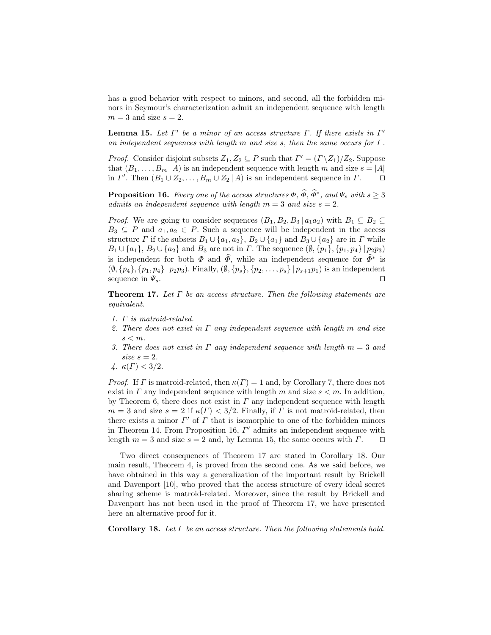has a good behavior with respect to minors, and second, all the forbidden minors in Seymour's characterization admit an independent sequence with length  $m = 3$  and size  $s = 2$ .

**Lemma 15.** Let  $\Gamma'$  be a minor of an access structure  $\Gamma$ . If there exists in  $\Gamma'$ an independent sequences with length m and size s, then the same occurs for  $\Gamma$ .

*Proof.* Consider disjoint subsets  $Z_1, Z_2 \subseteq P$  such that  $\Gamma' = (\Gamma \backslash Z_1)/Z_2$ . Suppose that  $(B_1, \ldots, B_m | A)$  is an independent sequence with length m and size  $s = |A|$ <br>in  $\Gamma'$ . Then  $(B_1 \cup Z_2, \ldots, B_m \cup Z_2 | A)$  is an independent sequence in  $\Gamma$ . in  $\Gamma'$ . Then  $(B_1 \cup Z_2, \ldots, B_m \cup Z_2 \mid A)$  is an independent sequence in  $\Gamma$ .  $\Box$ 

**Proposition 16.** Every one of the access structures  $\Phi$ ,  $\widehat{\Phi}$ ,  $\widehat{\Phi}^*$ , and  $\Psi_s$  with  $s \geq 3$ admits an independent sequence with length  $m = 3$  and size  $s = 2$ .

*Proof.* We are going to consider sequences  $(B_1, B_2, B_3 | a_1 a_2)$  with  $B_1 \subseteq B_2 \subseteq$  $B_3 \subseteq P$  and  $a_1, a_2 \in P$ . Such a sequence will be independent in the access structure  $\Gamma$  if the subsets  $B_1 \cup \{a_1, a_2\}$ ,  $B_2 \cup \{a_1\}$  and  $B_3 \cup \{a_2\}$  are in  $\Gamma$  while  $B_1 \cup \{a_1\}, B_2 \cup \{a_2\}$  and  $B_3$  are not in  $\Gamma$ . The sequence  $(\emptyset, \{p_1\}, \{p_1, p_4\} | p_2p_3)$ is independent for both  $\Phi$  and  $\widehat{\Phi}$ , while an independent sequence for  $\widehat{\Phi}^*$  is  $(\emptyset, \{p_4\}, \{p_1, p_4\} | p_2p_3)$ . Finally,  $(\emptyset, \{p_s\}, \{p_2, \ldots, p_s\} | p_{s+1}p_1)$  is an independent sequence in  $\Psi_s$ . sequence in  $\Psi_s$ .

**Theorem 17.** Let  $\Gamma$  be an access structure. Then the following statements are equivalent.

- 1. Γ is matroid-related.
- 2. There does not exist in  $\Gamma$  any independent sequence with length m and size  $s < m$ .
- 3. There does not exist in  $\Gamma$  any independent sequence with length  $m=3$  and size  $s = 2$ .
- 4.  $\kappa(\Gamma) < 3/2$ .

*Proof.* If  $\Gamma$  is matroid-related, then  $\kappa(\Gamma) = 1$  and, by Corollary 7, there does not exist in  $\Gamma$  any independent sequence with length  $m$  and size  $s < m$ . In addition, by Theorem 6, there does not exist in  $\Gamma$  any independent sequence with length  $m = 3$  and size  $s = 2$  if  $\kappa(\Gamma) < 3/2$ . Finally, if  $\Gamma$  is not matroid-related, then there exists a minor  $\Gamma'$  of  $\Gamma$  that is isomorphic to one of the forbidden minors in Theorem 14. From Proposition 16,  $\Gamma'$  admits an independent sequence with length  $m = 3$  and size  $s = 2$  and, by Lemma 15, the same occurs with  $\Gamma$ .

Two direct consequences of Theorem 17 are stated in Corollary 18. Our main result, Theorem 4, is proved from the second one. As we said before, we have obtained in this way a generalization of the important result by Brickell and Davenport [10], who proved that the access structure of every ideal secret sharing scheme is matroid-related. Moreover, since the result by Brickell and Davenport has not been used in the proof of Theorem 17, we have presented here an alternative proof for it.

Corollary 18. Let  $\Gamma$  be an access structure. Then the following statements hold.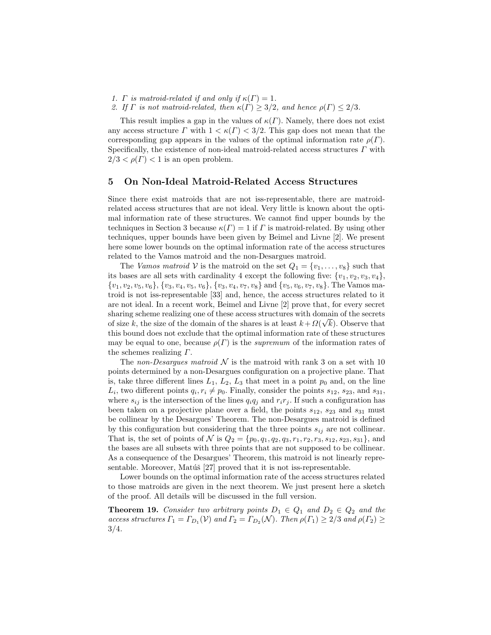1.  $\Gamma$  is matroid-related if and only if  $\kappa(\Gamma) = 1$ .

2. If  $\Gamma$  is not matroid-related, then  $\kappa(\Gamma) \geq 3/2$ , and hence  $\rho(\Gamma) \leq 2/3$ .

This result implies a gap in the values of  $\kappa(\Gamma)$ . Namely, there does not exist any access structure  $\Gamma$  with  $1 < \kappa(\Gamma) < 3/2$ . This gap does not mean that the corresponding gap appears in the values of the optimal information rate  $\rho(\Gamma)$ . Specifically, the existence of non-ideal matroid-related access structures  $\Gamma$  with  $2/3 < \rho(\Gamma) < 1$  is an open problem.

## 5 On Non-Ideal Matroid-Related Access Structures

Since there exist matroids that are not iss-representable, there are matroidrelated access structures that are not ideal. Very little is known about the optimal information rate of these structures. We cannot find upper bounds by the techniques in Section 3 because  $\kappa(\Gamma) = 1$  if  $\Gamma$  is matroid-related. By using other techniques, upper bounds have been given by Beimel and Livne [2]. We present here some lower bounds on the optimal information rate of the access structures related to the Vamos matroid and the non-Desargues matroid.

The Vamos matroid V is the matroid on the set  $Q_1 = \{v_1, \ldots, v_8\}$  such that its bases are all sets with cardinality 4 except the following five:  $\{v_1, v_2, v_3, v_4\}$ ,  ${v_1, v_2, v_5, v_6}, \{v_3, v_4, v_5, v_6\}, \{v_3, v_4, v_7, v_8\}$  and  $\{v_5, v_6, v_7, v_8\}.$  The Vamos matroid is not iss-representable [33] and, hence, the access structures related to it are not ideal. In a recent work, Beimel and Livne [2] prove that, for every secret sharing scheme realizing one of these access structures with domain of the secrets of size k, the size of the domain of the shares is at least  $k + \Omega(\sqrt{k})$ . Observe that this bound does not exclude that the optimal information rate of these structures may be equal to one, because  $\rho(\Gamma)$  is the *supremum* of the information rates of the schemes realizing  $\Gamma$ .

The non-Desargues matroid  $\mathcal N$  is the matroid with rank 3 on a set with 10 points determined by a non-Desargues configuration on a projective plane. That is, take three different lines  $L_1$ ,  $L_2$ ,  $L_3$  that meet in a point  $p_0$  and, on the line  $L_i$ , two different points  $q_i, r_i \neq p_0$ . Finally, consider the points  $s_{12}, s_{23}$ , and  $s_{31}$ , where  $s_{ij}$  is the intersection of the lines  $q_iq_j$  and  $r_ir_j$ . If such a configuration has been taken on a projective plane over a field, the points  $s_{12}$ ,  $s_{23}$  and  $s_{31}$  must be collinear by the Desargues' Theorem. The non-Desargues matroid is defined by this configuration but considering that the three points  $s_{ij}$  are not collinear. That is, the set of points of N is  $Q_2 = \{p_0, q_1, q_2, q_3, r_1, r_2, r_3, s_{12}, s_{23}, s_{31}\},$  and the bases are all subsets with three points that are not supposed to be collinear. As a consequence of the Desargues' Theorem, this matroid is not linearly representable. Moreover, Matúš  $[27]$  proved that it is not iss-representable.

Lower bounds on the optimal information rate of the access structures related to those matroids are given in the next theorem. We just present here a sketch of the proof. All details will be discussed in the full version.

**Theorem 19.** Consider two arbitrary points  $D_1 \in Q_1$  and  $D_2 \in Q_2$  and the access structures  $\Gamma_1 = \Gamma_{D_1}(\mathcal{V})$  and  $\Gamma_2 = \Gamma_{D_2}(\mathcal{N})$ . Then  $\rho(\Gamma_1) \geq 2/3$  and  $\rho(\Gamma_2) \geq$ 3/4.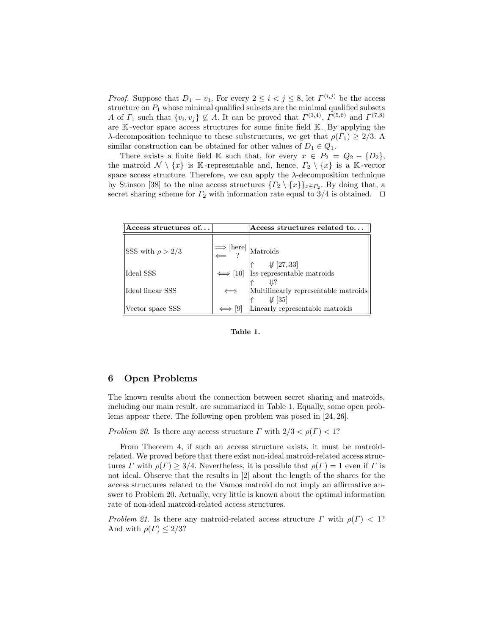*Proof.* Suppose that  $D_1 = v_1$ . For every  $2 \leq i < j \leq 8$ , let  $\Gamma^{(i,j)}$  be the access structure on  $P_1$  whose minimal qualified subsets are the minimal qualified subsets A of  $\Gamma_1$  such that  $\{v_i, v_j\} \nsubseteq A$ . It can be proved that  $\Gamma^{(3,4)}$ ,  $\Gamma^{(5,6)}$  and  $\Gamma^{(7,8)}$ are K -vector space access structures for some finite field K . By applying the λ-decomposition technique to these substructures, we get that  $ρ(T_1) ≥ 2/3$ . A similar construction can be obtained for other values of  $D_1 \in Q_1$ .

There exists a finite field K such that, for every  $x \in P_2 = Q_2 - \{D_2\},\$ the matroid  $\mathcal{N} \setminus \{x\}$  is K-representable and, hence,  $\Gamma_2 \setminus \{x\}$  is a K-vector space access structure. Therefore, we can apply the  $\lambda$ -decomposition technique by Stinson [38] to the nine access structures  $\{T_2 \setminus \{x\}\}_{x \in P_2}$ . By doing that, a secret sharing scheme for  $\Gamma_2$  with information rate equal to 3/4 is obtained.  $\Box$ 

| $\Lambda$ ccess structures of |                                                                                                                                                                 | Access structures related to                                                                                                                                |
|-------------------------------|-----------------------------------------------------------------------------------------------------------------------------------------------------------------|-------------------------------------------------------------------------------------------------------------------------------------------------------------|
| SSS with $\rho > 2/3$         | $\begin{center}  \Longrightarrow [\text{here}] \\ \Longleftarrow \end{center} \begin{center} \begin{subarray}{l} \text{Maroids} \\ \end{subarray} \end{center}$ |                                                                                                                                                             |
| Ideal SSS                     |                                                                                                                                                                 | $\Longleftrightarrow [10] \ \begin{array}{c} \uparrow \uparrow & \downarrow \!\!\!\!\! \downarrow [27,33] \\ \text{Its-representable matroids} \end{array}$ |
| Ideal linear SSS              |                                                                                                                                                                 | Multilinearly representable matroids<br>$\sqrt{35}$                                                                                                         |
| Vector space SSS              | [9]                                                                                                                                                             | Linearly representable matroids                                                                                                                             |

Table 1.

# 6 Open Problems

The known results about the connection between secret sharing and matroids, including our main result, are summarized in Table 1. Equally, some open problems appear there. The following open problem was posed in [24, 26].

Problem 20. Is there any access structure  $\Gamma$  with  $2/3 < \rho(\Gamma) < 1$ ?

From Theorem 4, if such an access structure exists, it must be matroidrelated. We proved before that there exist non-ideal matroid-related access structures  $\Gamma$  with  $\rho(\Gamma) \geq 3/4$ . Nevertheless, it is possible that  $\rho(\Gamma) = 1$  even if  $\Gamma$  is not ideal. Observe that the results in [2] about the length of the shares for the access structures related to the Vamos matroid do not imply an affirmative answer to Problem 20. Actually, very little is known about the optimal information rate of non-ideal matroid-related access structures.

Problem 21. Is there any matroid-related access structure  $\Gamma$  with  $\rho(\Gamma) < 1$ ? And with  $\rho(\Gamma) \leq 2/3$ ?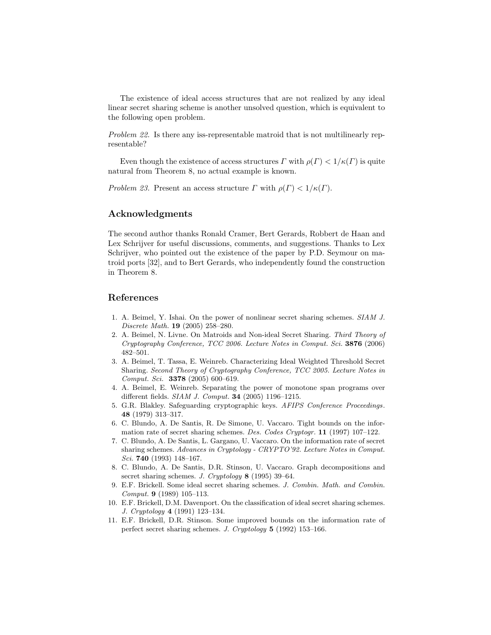The existence of ideal access structures that are not realized by any ideal linear secret sharing scheme is another unsolved question, which is equivalent to the following open problem.

Problem 22. Is there any iss-representable matroid that is not multilinearly representable?

Even though the existence of access structures  $\Gamma$  with  $\rho(\Gamma) < 1/\kappa(\Gamma)$  is quite natural from Theorem 8, no actual example is known.

Problem 23. Present an access structure  $\Gamma$  with  $\rho(\Gamma) < 1/\kappa(\Gamma)$ .

# Acknowledgments

The second author thanks Ronald Cramer, Bert Gerards, Robbert de Haan and Lex Schrijver for useful discussions, comments, and suggestions. Thanks to Lex Schrijver, who pointed out the existence of the paper by P.D. Seymour on matroid ports [32], and to Bert Gerards, who independently found the construction in Theorem 8.

# References

- 1. A. Beimel, Y. Ishai. On the power of nonlinear secret sharing schemes. SIAM J. Discrete Math. 19 (2005) 258–280.
- 2. A. Beimel, N. Livne. On Matroids and Non-ideal Secret Sharing. Third Theory of Cryptography Conference, TCC 2006. Lecture Notes in Comput. Sci. 3876 (2006) 482–501.
- 3. A. Beimel, T. Tassa, E. Weinreb. Characterizing Ideal Weighted Threshold Secret Sharing. Second Theory of Cryptography Conference, TCC 2005. Lecture Notes in Comput. Sci. 3378 (2005) 600–619.
- 4. A. Beimel, E. Weinreb. Separating the power of monotone span programs over different fields. SIAM J. Comput. 34 (2005) 1196–1215.
- 5. G.R. Blakley. Safeguarding cryptographic keys. AFIPS Conference Proceedings. 48 (1979) 313–317.
- 6. C. Blundo, A. De Santis, R. De Simone, U. Vaccaro. Tight bounds on the information rate of secret sharing schemes. Des. Codes Cryptogr. 11 (1997) 107–122.
- 7. C. Blundo, A. De Santis, L. Gargano, U. Vaccaro. On the information rate of secret sharing schemes. Advances in Cryptology - CRYPTO'92. Lecture Notes in Comput. Sci. 740 (1993) 148–167.
- 8. C. Blundo, A. De Santis, D.R. Stinson, U. Vaccaro. Graph decompositions and secret sharing schemes. J. Cryptology 8 (1995) 39–64.
- 9. E.F. Brickell. Some ideal secret sharing schemes. J. Combin. Math. and Combin. Comput. 9 (1989) 105–113.
- 10. E.F. Brickell, D.M. Davenport. On the classification of ideal secret sharing schemes. J. Cryptology 4 (1991) 123–134.
- 11. E.F. Brickell, D.R. Stinson. Some improved bounds on the information rate of perfect secret sharing schemes. J. Cryptology 5 (1992) 153–166.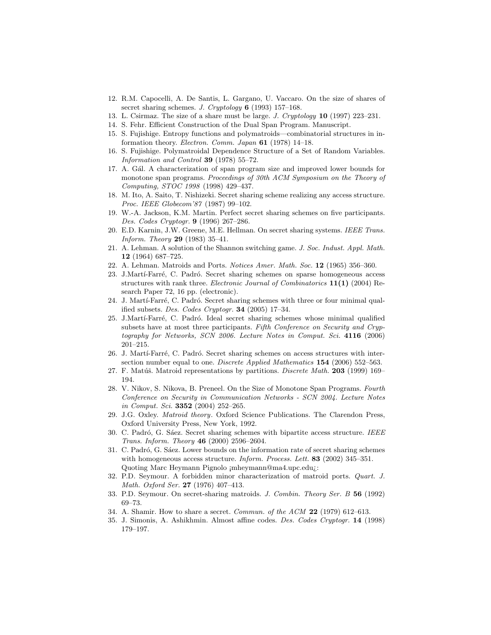- 12. R.M. Capocelli, A. De Santis, L. Gargano, U. Vaccaro. On the size of shares of secret sharing schemes. J. Cryptology 6 (1993) 157–168.
- 13. L. Csirmaz. The size of a share must be large. J. Cryptology 10 (1997) 223–231.
- 14. S. Fehr. Efficient Construction of the Dual Span Program. Manuscript.
- 15. S. Fujishige. Entropy functions and polymatroids—combinatorial structures in information theory. Electron. Comm. Japan  $61$  (1978) 14–18.
- 16. S. Fujishige. Polymatroidal Dependence Structure of a Set of Random Variables. Information and Control 39 (1978) 55–72.
- 17. A. Gál. A characterization of span program size and improved lower bounds for monotone span programs. Proceedings of 30th ACM Symposium on the Theory of Computing, STOC 1998 (1998) 429–437.
- 18. M. Ito, A. Saito, T. Nishizeki. Secret sharing scheme realizing any access structure. Proc. IEEE Globecom'87 (1987) 99–102.
- 19. W.-A. Jackson, K.M. Martin. Perfect secret sharing schemes on five participants. Des. Codes Cryptogr. 9 (1996) 267–286.
- 20. E.D. Karnin, J.W. Greene, M.E. Hellman. On secret sharing systems. IEEE Trans. Inform. Theory 29 (1983) 35–41.
- 21. A. Lehman. A solution of the Shannon switching game. J. Soc. Indust. Appl. Math. 12 (1964) 687–725.
- 22. A. Lehman. Matroids and Ports. Notices Amer. Math. Soc. 12 (1965) 356–360.
- 23. J.Martí-Farré, C. Padró. Secret sharing schemes on sparse homogeneous access structures with rank three. Electronic Journal of Combinatorics  $11(1)$  (2004) Research Paper 72, 16 pp. (electronic).
- 24. J. Martí-Farré, C. Padró. Secret sharing schemes with three or four minimal qualified subsets. Des. Codes Cryptogr. 34 (2005) 17–34.
- 25. J.Martí-Farré, C. Padró. Ideal secret sharing schemes whose minimal qualified subsets have at most three participants. Fifth Conference on Security and Cryptography for Networks, SCN 2006. Lecture Notes in Comput. Sci. 4116 (2006) 201–215.
- 26. J. Martí-Farré, C. Padró. Secret sharing schemes on access structures with intersection number equal to one. Discrete Applied Mathematics 154 (2006) 552–563.
- 27. F. Matúš. Matroid representations by partitions. Discrete Math.  $203$  (1999) 169– 194.
- 28. V. Nikov, S. Nikova, B. Preneel. On the Size of Monotone Span Programs. Fourth Conference on Security in Communication Networks - SCN 2004. Lecture Notes in Comput. Sci. 3352 (2004) 252–265.
- 29. J.G. Oxley. Matroid theory. Oxford Science Publications. The Clarendon Press, Oxford University Press, New York, 1992.
- 30. C. Padró, G. Sáez. Secret sharing schemes with bipartite access structure. IEEE Trans. Inform. Theory 46 (2000) 2596–2604.
- 31. C. Padró, G. Sáez. Lower bounds on the information rate of secret sharing schemes with homogeneous access structure. Inform. Process. Lett. 83 (2002) 345-351. Quoting Marc Heymann Pignolo ¡mheymann@ma4.upc.edu¿:
- 32. P.D. Seymour. A forbidden minor characterization of matroid ports. Quart. J. Math. Oxford Ser. 27 (1976) 407–413.
- 33. P.D. Seymour. On secret-sharing matroids. J. Combin. Theory Ser. B 56 (1992) 69–73.
- 34. A. Shamir. How to share a secret. Commun. of the ACM 22 (1979) 612–613.
- 35. J. Simonis, A. Ashikhmin. Almost affine codes. Des. Codes Cryptogr. 14 (1998) 179–197.